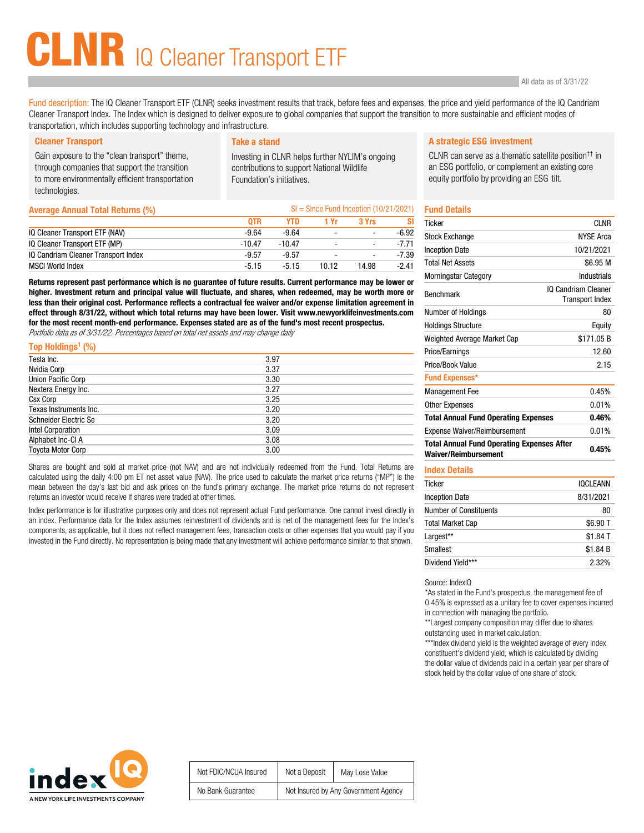# LNR IQ Cleaner Transport ETF

Fund description: The IQ Cleaner Transport ETF (CLNR) seeks investment results that track, before fees and expenses, the price and yield performance of the IQ Candriam Cleaner Transport Index. The Index which is designed to deliver exposure to global companies that support the transition to more sustainable and efficient modes of transportation, which includes supporting technology and infrastructure.

Gain exposure to the "clean transport" theme, through companies that support the transition to more environmentally efficient transportation technologies.

Investing in CLNR helps further NYLIM's ongoing contributions to support National Wildlife Foundation's initiatives.

| <b>Average Annual Total Returns (%)</b> | $SI = Since Fund Inception (10/21/2021)$ |          |                |                          |         |
|-----------------------------------------|------------------------------------------|----------|----------------|--------------------------|---------|
|                                         | <b>OTR</b>                               | YTD.     | 1 Yr           | 3 Yrs                    | SI      |
| IQ Cleaner Transport ETF (NAV)          | $-9.64$                                  | $-9.64$  | $\overline{a}$ | $\overline{\phantom{a}}$ | $-6.92$ |
| IQ Cleaner Transport ETF (MP)           | $-10.47$                                 | $-10.47$ | $\overline{a}$ | $\blacksquare$           | $-7.71$ |
| IQ Candriam Cleaner Transport Index     | $-9.57$                                  | $-9.57$  |                | $\blacksquare$           | $-7.39$ |
| <b>MSCI World Index</b>                 | $-5.15$                                  | $-5.15$  | 10.12          | 14.98                    | $-2.41$ |

Returns represent past performance which is no guarantee of future results. Current performance may be lower or higher. Investment return and principal value will fluctuate, and shares, when redeemed, may be worth more or less than their original cost. Performance reflects a contractual fee waiver and/or expense limitation agreement in effect through 8/31/22, without which total returns may have been lower. Visit www.newyorklifeinvestments.com for the most recent month-end performance. Expenses stated are as of the fund's most recent prospectus.

Portfolio data as of 3/31/22. Percentages based on total net assets and may change daily

| 3.97 |
|------|
| 3.37 |
| 3.30 |
| 3.27 |
| 3.25 |
| 3.20 |
| 3.20 |
| 3.09 |
| 3.08 |
| 3.00 |
|      |

Shares are bought and sold at market price (not NAV) and are not individually redeemed from the Fund. Total Returns are calculated using the daily 4:00 pm ET net asset value (NAV). The price used to calculate the market price returns ("MP") is the mean between the day's last bid and ask prices on the fund's primary exchange. The market price returns do not represent returns an investor would receive if shares were traded at other times.

Index performance is for illustrative purposes only and does not represent actual Fund performance. One cannot invest directly in an index. Performance data for the Index assumes reinvestment of dividends and is net of the management fees for the Index's components, as applicable, but it does not reflect management fees, transaction costs or other expenses that you would pay if you invested in the Fund directly. No representation is being made that any investment will achieve performance similar to that shown.

### Cleaner Transport **Take a stand Take a stand A strategic ESG investment**

CLNR can serve as a thematic satellite position†† in an ESG portfolio, or complement an existing core equity portfolio by providing an ESG tilt.

## Fund Details

| <b>Ticker</b>                                                                    | CI NR                                         |
|----------------------------------------------------------------------------------|-----------------------------------------------|
| <b>Stock Exchange</b>                                                            | <b>NYSE Arca</b>                              |
| <b>Inception Date</b>                                                            | 10/21/2021                                    |
| <b>Total Net Assets</b>                                                          | \$6.95 M                                      |
| Morningstar Category                                                             | Industrials                                   |
| <b>Benchmark</b>                                                                 | IO Candriam Cleaner<br><b>Transport Index</b> |
| Number of Holdings                                                               | 80                                            |
| <b>Holdings Structure</b>                                                        | Equity                                        |
| Weighted Average Market Cap                                                      | \$171.05B                                     |
| Price/Earnings                                                                   | 12.60                                         |
| Price/Book Value                                                                 | 2.15                                          |
| <b>Fund Expenses*</b>                                                            |                                               |
| <b>Management Fee</b>                                                            | 0.45%                                         |
| <b>Other Expenses</b>                                                            | 0.01%                                         |
| <b>Total Annual Fund Operating Expenses</b>                                      | 0.46%                                         |
| <b>Expense Waiver/Reimbursement</b>                                              | 0.01%                                         |
| <b>Total Annual Fund Operating Expenses After</b><br><b>Waiver/Reimbursement</b> | 0.45%                                         |
|                                                                                  |                                               |

#### Index Details

| Ticker                        | <b>IQCLEANN</b> |
|-------------------------------|-----------------|
| <b>Inception Date</b>         | 8/31/2021       |
| <b>Number of Constituents</b> | 80              |
| <b>Total Market Cap</b>       | \$6.90 T        |
| Largest**                     | \$1.84 T        |
| <b>Smallest</b>               | \$1.84 B        |
| Dividend Yield***             | 2.32%           |

Source: IndexIQ

\*As stated in the Fund's prospectus, the management fee of 0.45% is expressed as a unitary fee to cover expenses incurred in connection with managing the portfolio.

\*\*Largest company composition may differ due to shares outstanding used in market calculation.

\*\*\*Index dividend yield is the weighted average of every index constituent's dividend yield, which is calculated by dividing the dollar value of dividends paid in a certain year per share of stock held by the dollar value of one share of stock.



| Not FDIC/NCUA Insured | Not a Deposit                        | May Lose Value |
|-----------------------|--------------------------------------|----------------|
| No Bank Guarantee     | Not Insured by Any Government Agency |                |